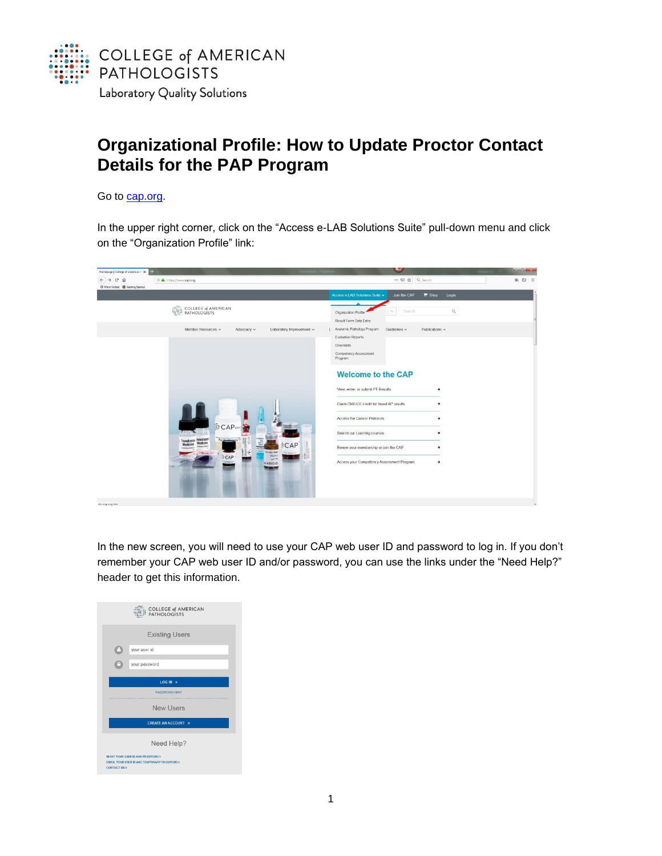

## **Organizational Profile: How to Update Proctor Contact Details for the PAP Program**

Go to [cap.org.](http://www.cap.org/)

In the upper right corner, click on the "Access e-LAB Solutions Suite" pull-down menu and click on the "Organization Profile" link:



In the new screen, you will need to use your CAP web user ID and password to log in. If you don't remember your CAP web user ID and/or password, you can use the links under the "Need Help?" header to get this information.

|                        | <b>COLLEGE of AMERICAN</b><br><b>PATHOLOGISTS</b>                                |
|------------------------|----------------------------------------------------------------------------------|
|                        | <b>Existing Users</b>                                                            |
|                        | your user id                                                                     |
|                        | your password                                                                    |
|                        | $LOG IN \rightarrow$                                                             |
|                        | PASSWORD HINT                                                                    |
|                        | <b>New Users</b>                                                                 |
|                        | <b>CREATE AN ACCOUNT &gt;</b>                                                    |
|                        | Need Help?                                                                       |
| <b>CONTACT US &gt;</b> | RESET YOUR USER ID AND PASSWORD ><br>FMAIL YOUR USER ID AND TEMPORARY PASSWORD > |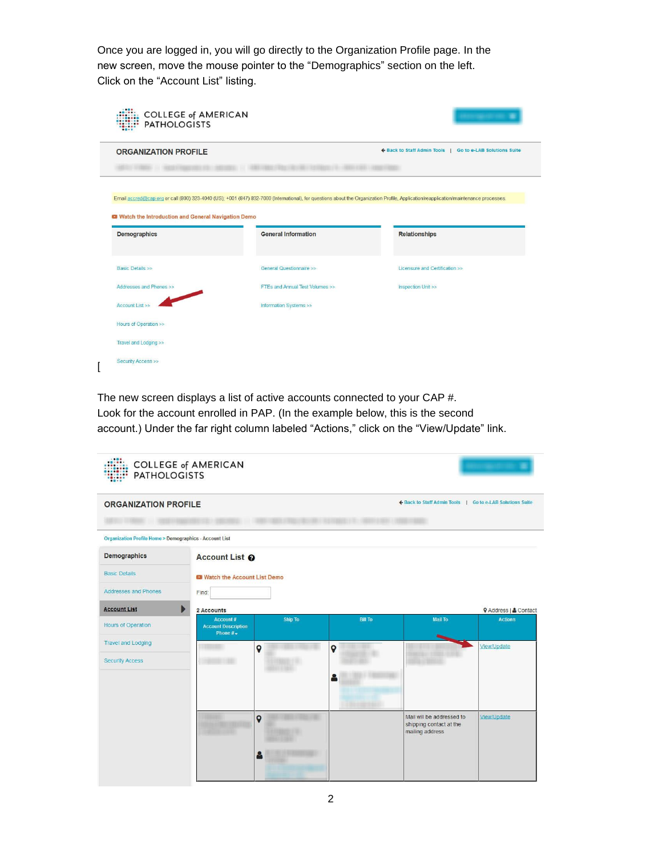Once you are logged in, you will go directly to the Organization Profile page. In the new screen, move the mouse pointer to the "Demographics" section on the left. Click on the "Account List" listing.

| <b>ORGANIZATION PROFILE</b>                                               |                                                                                                                                                                                                                     | ← Back to Staff Admin Tools   Go to e-LAB Solutions Suite |  |  |
|---------------------------------------------------------------------------|---------------------------------------------------------------------------------------------------------------------------------------------------------------------------------------------------------------------|-----------------------------------------------------------|--|--|
| Watch the Introduction and General Navigation Demo<br><b>Demographics</b> | Email accred@cap.org or call (800) 323-4040 (US); +001 (847) 832-7000 (International), for questions about the Organization Profile, Application/reapplication/maintenance processes.<br><b>General Information</b> | <b>Relationships</b>                                      |  |  |
|                                                                           |                                                                                                                                                                                                                     |                                                           |  |  |
| <b>Basic Details &gt;&gt;</b>                                             | General Questionnaire >>                                                                                                                                                                                            | Licensure and Certification >>                            |  |  |
| Addresses and Phones >>                                                   | FTEs and Annual Test Volumes >>                                                                                                                                                                                     | Inspection Unit >>                                        |  |  |
| Account List >>                                                           | Information Systems >>                                                                                                                                                                                              |                                                           |  |  |

The new screen displays a list of active accounts connected to your CAP #. Look for the account enrolled in PAP. (In the example below, this is the second account.) Under the far right column labeled "Actions," click on the "View/Update" link.

| <b>PATHOLOGISTS</b>                                               | <b>COLLEGE of AMERICAN</b>                          |                             |                |                                                                         |                              |  |
|-------------------------------------------------------------------|-----------------------------------------------------|-----------------------------|----------------|-------------------------------------------------------------------------|------------------------------|--|
| <b>ORGANIZATION PROFILE</b>                                       |                                                     |                             |                | ← Back to Staff Admin Tools   Go to e-LAB Solutions Suite               |                              |  |
| <b>Organization Profile Home &gt; Demographics - Account List</b> |                                                     |                             |                |                                                                         |                              |  |
| <b>Demographics</b>                                               | Account List @                                      |                             |                |                                                                         |                              |  |
| <b>Basic Details</b>                                              |                                                     | Watch the Account List Demo |                |                                                                         |                              |  |
| <b>Addresses and Phones</b>                                       | Find:                                               |                             |                |                                                                         |                              |  |
| <b>Account List</b>                                               | Þ<br>2 Accounts                                     |                             |                |                                                                         | <b>V</b> Address   & Contact |  |
| <b>Hours of Operation</b>                                         | Account#<br><b>Account Description</b><br>Phone $#$ | Ship To                     | <b>Bill To</b> | <b>Mail To</b>                                                          | <b>Actions</b>               |  |
| <b>Travel and Lodging</b>                                         |                                                     | $\mathbf Q$                 | $\overline{Q}$ |                                                                         | View/Update                  |  |
| <b>Security Access</b>                                            |                                                     |                             |                |                                                                         |                              |  |
|                                                                   |                                                     | $\mathbf Q$                 |                | Mail will be addressed to<br>shipping contact at the<br>mailing address | View/Update                  |  |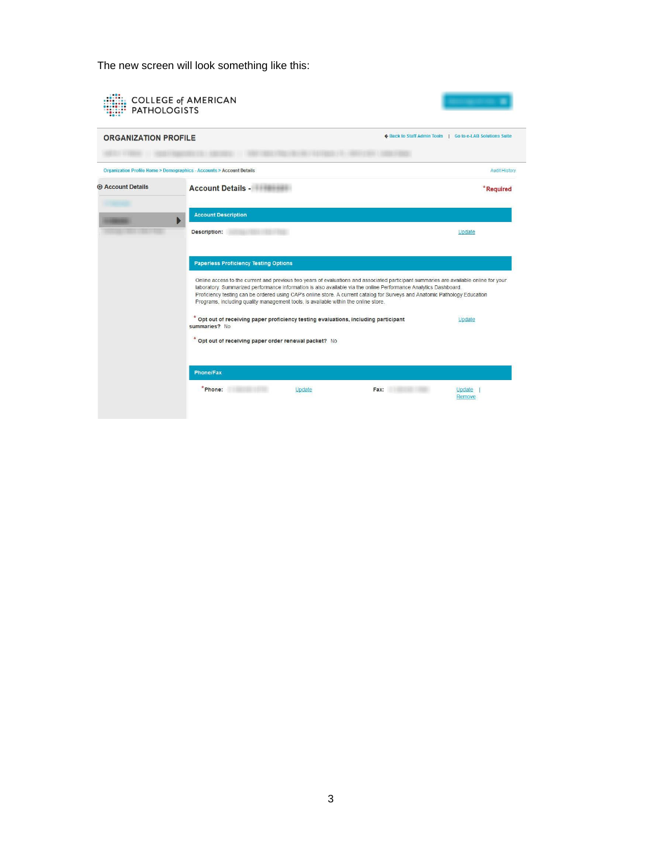The new screen will look something like this:

| <b>ORGANIZATION PROFILE</b> |                                                                                                                                                                                                                                                                                                                                                                                                                                                                                                                                 | ← Back to Staff Admin Tools   Go to e-LAB Solutions Suite |                      |
|-----------------------------|---------------------------------------------------------------------------------------------------------------------------------------------------------------------------------------------------------------------------------------------------------------------------------------------------------------------------------------------------------------------------------------------------------------------------------------------------------------------------------------------------------------------------------|-----------------------------------------------------------|----------------------|
|                             | Organization Profile Home > Demographics - Accounts > Account Details                                                                                                                                                                                                                                                                                                                                                                                                                                                           |                                                           | <b>Audit History</b> |
| <b>E</b> Account Details    | <b>Account Details - Account Details - Account Details - Account Details</b>                                                                                                                                                                                                                                                                                                                                                                                                                                                    |                                                           | *Required            |
|                             | <b>Account Description</b>                                                                                                                                                                                                                                                                                                                                                                                                                                                                                                      |                                                           |                      |
|                             | Description:                                                                                                                                                                                                                                                                                                                                                                                                                                                                                                                    |                                                           | Update               |
|                             | <b>Paperless Proficiency Testing Options</b><br>Online access to the current and previous two years of evaluations and associated participant summaries are available online for your<br>laboratory. Summarized performance information is also available via the online Performance Analytics Dashboard.<br>Proficiency testing can be ordered using CAP's online store. A current catalog for Surveys and Anatomic Pathology Education<br>Programs, including quality management tools, is available within the online store. |                                                           |                      |
|                             |                                                                                                                                                                                                                                                                                                                                                                                                                                                                                                                                 |                                                           |                      |
|                             | Opt out of receiving paper proficiency testing evaluations, including participant<br>summaries? No                                                                                                                                                                                                                                                                                                                                                                                                                              |                                                           | Update               |
|                             | * Opt out of receiving paper order renewal packet? No                                                                                                                                                                                                                                                                                                                                                                                                                                                                           |                                                           |                      |
|                             | <b>Phone/Fax</b>                                                                                                                                                                                                                                                                                                                                                                                                                                                                                                                |                                                           |                      |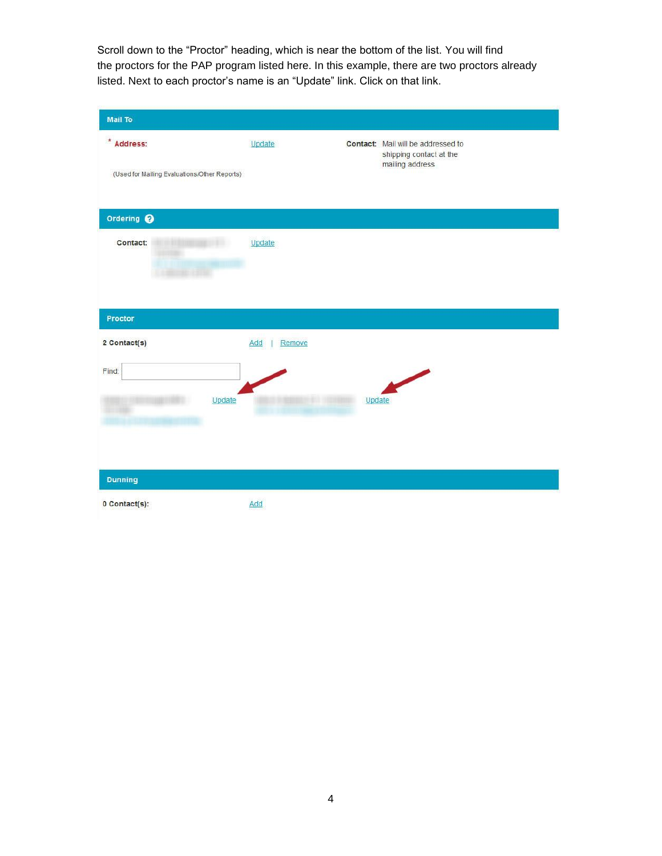Scroll down to the "Proctor" heading, which is near the bottom of the list. You will find the proctors for the PAP program listed here. In this example, there are two proctors already listed. Next to each proctor's name is an "Update" link. Click on that link.

| <b>Mail To</b>                               |               |        |                                                               |
|----------------------------------------------|---------------|--------|---------------------------------------------------------------|
| $*$ Address:                                 | Update        |        | Contact: Mail will be addressed to<br>shipping contact at the |
| (Used for Mailing Evaluations/Other Reports) |               |        | mailing address                                               |
| Ordering @                                   |               |        |                                                               |
| Contact:                                     | Update        |        |                                                               |
| Proctor                                      |               |        |                                                               |
| 2 Contact(s)                                 | Remove<br>Add |        |                                                               |
| Find:                                        |               |        |                                                               |
| Update                                       |               | Update |                                                               |
| <b>Dunning</b>                               |               |        |                                                               |
| 0 Contact(s):                                | Add           |        |                                                               |